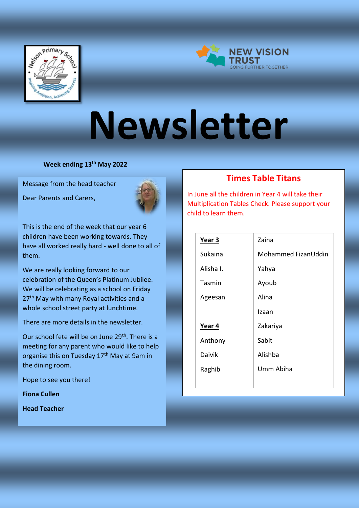



# **Newsletter**

**Week ending 13th May 2022**

Message from the head teacher

Dear Parents and Carers,



This is the end of the week that our year 6 children have been working towards. They have all worked really hard - well done to all of them.

We are really looking forward to our celebration of the Queen's Platinum Jubilee. We will be celebrating as a school on Friday 27<sup>th</sup> May with many Royal activities and a whole school street party at lunchtime.

There are more details in the newsletter.

Our school fete will be on June 29<sup>th</sup>. There is a meeting for any parent who would like to help organise this on Tuesday 17<sup>th</sup> May at 9am in the dining room.

Hope to see you there!

**Fiona Cullen** 

**Head Teacher**

### **Times Table Titans**

In June all the children in Year 4 will take their Multiplication Tables Check. Please support your child to learn them.

| Year 3        | Zaina               |
|---------------|---------------------|
| Sukaina       | Mohammed FizanUddin |
| Alisha I.     | Yahya               |
| Tasmin        | Ayoub               |
| Ageesan       | Alina               |
|               | Izaan               |
| Year 4        | Zakariya            |
| Anthony       | Sabit               |
| <b>Daivik</b> | Alishba             |
| Raghib        | Umm Abiha           |
|               |                     |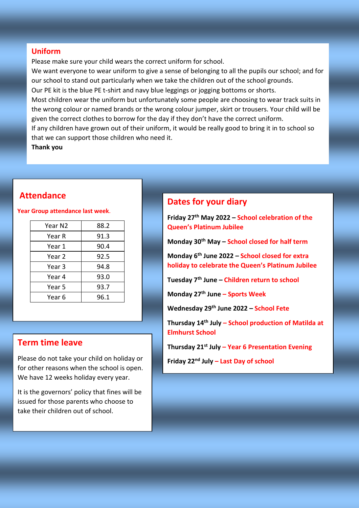### **Uniform**

Please make sure your child wears the correct uniform for school.

We want everyone to wear uniform to give a sense of belonging to all the pupils our school; and for our school to stand out particularly when we take the children out of the school grounds.

Our PE kit is the blue PE t-shirt and navy blue leggings or jogging bottoms or shorts.

Most children wear the uniform but unfortunately some people are choosing to wear track suits in the wrong colour or named brands or the wrong colour jumper, skirt or trousers. Your child will be given the correct clothes to borrow for the day if they don't have the correct uniform.

If any children have grown out of their uniform, it would be really good to bring it in to school so that we can support those children who need it.

**Thank you**

### **Attendance**

#### **Year Group attendance last week**.

| Year N2 | 88.2 |
|---------|------|
| Year R  | 91.3 |
| Year 1  | 90.4 |
| Year 2  | 92.5 |
| Year 3  | 94.8 |
| Year 4  | 93.0 |
| Year 5  | 93.7 |
| Year 6  | 96.1 |
|         |      |

### **Term time leave**

Please do not take your child on holiday or for other reasons when the school is open. We have 12 weeks holiday every year.

It is the governors' policy that fines will be issued for those parents who choose to take their children out of school.

### **Dates for your diary**

**Friday 27th May 2022 – School celebration of the Queen's Platinum Jubilee**

**Monday 30th May – School closed for half term**

**Monday 6th June 2022 – School closed for extra holiday to celebrate the Queen's Platinum Jubilee**

**Tuesday 7th June – Children return to school**

**Monday 27th June – Sports Week**

**Wednesday 29th June 2022 – School Fete**

**Thursday 14th July – School production of Matilda at Elmhurst School**

```
Thursday 21st July – Year 6 Presentation Evening
```

```
Friday 22nd July – Last Day of school
```